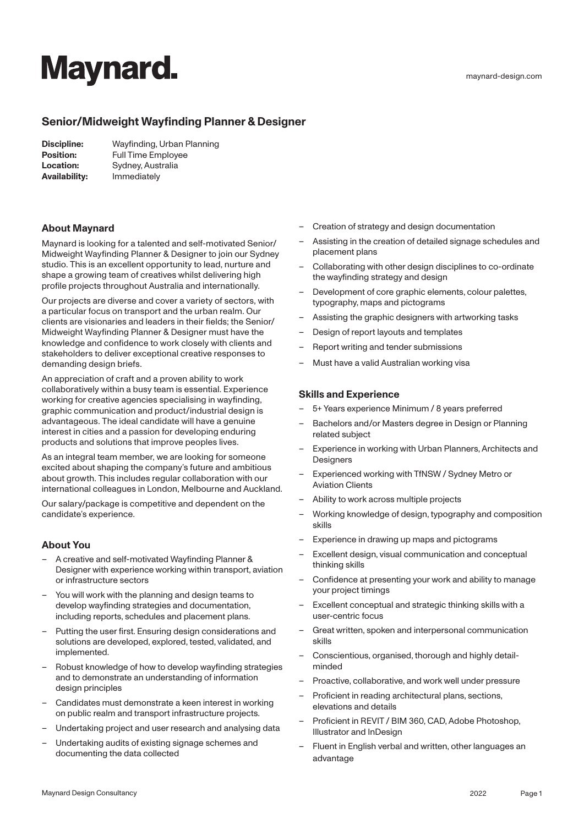# **Maynard.**

# **Senior/Midweight Wayfinding Planner & Designer**

| Discipline:      | Wayfinding, Urban Planning |
|------------------|----------------------------|
| <b>Position:</b> | Full Time Employee         |
| Location:        | Sydney, Australia          |
| Availability:    | Immediately                |

### **About Maynard**

Maynard is looking for a talented and self-motivated Senior/ Midweight Wayfinding Planner & Designer to join our Sydney studio. This is an excellent opportunity to lead, nurture and shape a growing team of creatives whilst delivering high profile projects throughout Australia and internationally.

Our projects are diverse and cover a variety of sectors, with a particular focus on transport and the urban realm. Our clients are visionaries and leaders in their fields; the Senior/ Midweight Wayfinding Planner & Designer must have the knowledge and confidence to work closely with clients and stakeholders to deliver exceptional creative responses to demanding design briefs.

An appreciation of craft and a proven ability to work collaboratively within a busy team is essential. Experience working for creative agencies specialising in wayfinding, graphic communication and product/industrial design is advantageous. The ideal candidate will have a genuine interest in cities and a passion for developing enduring products and solutions that improve peoples lives.

As an integral team member, we are looking for someone excited about shaping the company's future and ambitious about growth. This includes regular collaboration with our international colleagues in London, Melbourne and Auckland.

Our salary/package is competitive and dependent on the candidate's experience.

### **About You**

- A creative and self-motivated Wayfinding Planner & Designer with experience working within transport, aviation or infrastructure sectors
- You will work with the planning and design teams to develop wayfinding strategies and documentation, including reports, schedules and placement plans.
- Putting the user first. Ensuring design considerations and solutions are developed, explored, tested, validated, and implemented.
- Robust knowledge of how to develop wayfinding strategies and to demonstrate an understanding of information design principles
- Candidates must demonstrate a keen interest in working on public realm and transport infrastructure projects.
- Undertaking project and user research and analysing data
- Undertaking audits of existing signage schemes and documenting the data collected
- Creation of strategy and design documentation
- Assisting in the creation of detailed signage schedules and placement plans
- Collaborating with other design disciplines to co-ordinate the wayfinding strategy and design
- Development of core graphic elements, colour palettes, typography, maps and pictograms
- Assisting the graphic designers with artworking tasks
- Design of report layouts and templates
- Report writing and tender submissions
- Must have a valid Australian working visa

#### **Skills and Experience**

- 5+ Years experience Minimum / 8 years preferred
- Bachelors and/or Masters degree in Design or Planning related subject
- Experience in working with Urban Planners, Architects and **Designers**
- Experienced working with TfNSW / Sydney Metro or Aviation Clients
- Ability to work across multiple projects
- Working knowledge of design, typography and composition skills
- Experience in drawing up maps and pictograms
- Excellent design, visual communication and conceptual thinking skills
- Confidence at presenting your work and ability to manage your project timings
- Excellent conceptual and strategic thinking skills with a user-centric focus
- Great written, spoken and interpersonal communication skills
- Conscientious, organised, thorough and highly detailminded
- Proactive, collaborative, and work well under pressure
- Proficient in reading architectural plans, sections, elevations and details
- Proficient in REVIT / BIM 360, CAD, Adobe Photoshop, Illustrator and InDesign
- Fluent in English verbal and written, other languages an advantage